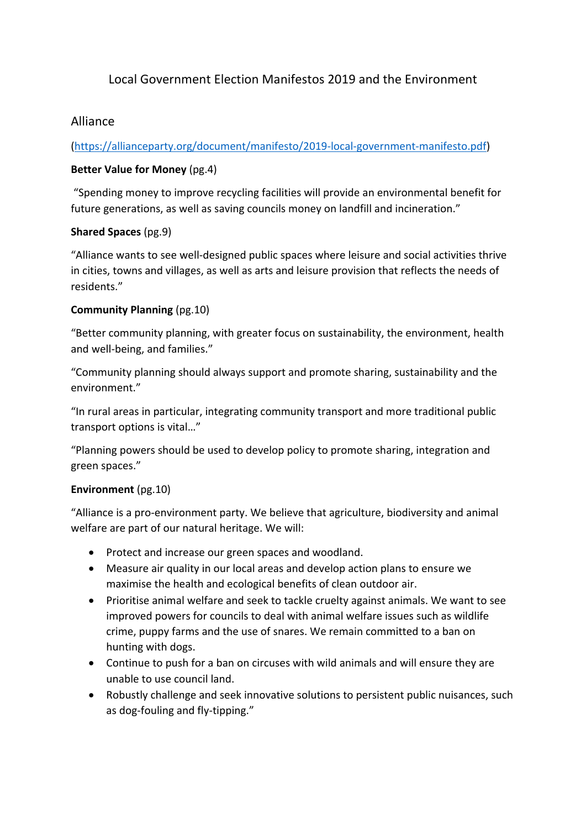# Local Government Election Manifestos 2019 and the Environment

## Alliance

(https://allianceparty.org/document/manifesto/2019‐local‐government‐manifesto.pdf)

### **Better Value for Money** (pg.4)

 "Spending money to improve recycling facilities will provide an environmental benefit for future generations, as well as saving councils money on landfill and incineration."

#### **Shared Spaces** (pg.9)

"Alliance wants to see well‐designed public spaces where leisure and social activities thrive in cities, towns and villages, as well as arts and leisure provision that reflects the needs of residents."

#### **Community Planning** (pg.10)

"Better community planning, with greater focus on sustainability, the environment, health and well‐being, and families."

"Community planning should always support and promote sharing, sustainability and the environment."

"In rural areas in particular, integrating community transport and more traditional public transport options is vital…"

"Planning powers should be used to develop policy to promote sharing, integration and green spaces."

### **Environment** (pg.10)

"Alliance is a pro‐environment party. We believe that agriculture, biodiversity and animal welfare are part of our natural heritage. We will:

- Protect and increase our green spaces and woodland.
- Measure air quality in our local areas and develop action plans to ensure we maximise the health and ecological benefits of clean outdoor air.
- Prioritise animal welfare and seek to tackle cruelty against animals. We want to see improved powers for councils to deal with animal welfare issues such as wildlife crime, puppy farms and the use of snares. We remain committed to a ban on hunting with dogs.
- Continue to push for a ban on circuses with wild animals and will ensure they are unable to use council land.
- Robustly challenge and seek innovative solutions to persistent public nuisances, such as dog-fouling and fly-tipping."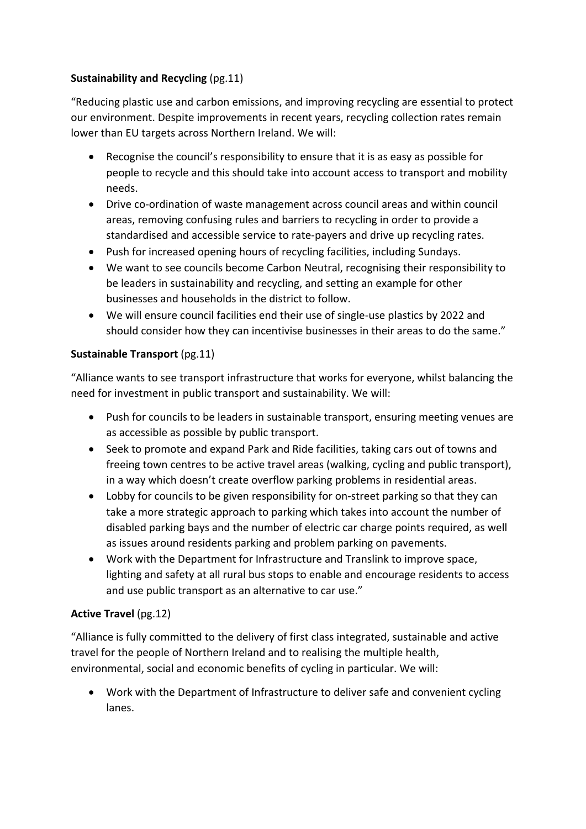# **Sustainability and Recycling** (pg.11)

"Reducing plastic use and carbon emissions, and improving recycling are essential to protect our environment. Despite improvements in recent years, recycling collection rates remain lower than EU targets across Northern Ireland. We will:

- Recognise the council's responsibility to ensure that it is as easy as possible for people to recycle and this should take into account access to transport and mobility needs.
- Drive co-ordination of waste management across council areas and within council areas, removing confusing rules and barriers to recycling in order to provide a standardised and accessible service to rate‐payers and drive up recycling rates.
- Push for increased opening hours of recycling facilities, including Sundays.
- We want to see councils become Carbon Neutral, recognising their responsibility to be leaders in sustainability and recycling, and setting an example for other businesses and households in the district to follow.
- We will ensure council facilities end their use of single-use plastics by 2022 and should consider how they can incentivise businesses in their areas to do the same."

### **Sustainable Transport** (pg.11)

"Alliance wants to see transport infrastructure that works for everyone, whilst balancing the need for investment in public transport and sustainability. We will:

- Push for councils to be leaders in sustainable transport, ensuring meeting venues are as accessible as possible by public transport.
- Seek to promote and expand Park and Ride facilities, taking cars out of towns and freeing town centres to be active travel areas (walking, cycling and public transport), in a way which doesn't create overflow parking problems in residential areas.
- Lobby for councils to be given responsibility for on‐street parking so that they can take a more strategic approach to parking which takes into account the number of disabled parking bays and the number of electric car charge points required, as well as issues around residents parking and problem parking on pavements.
- Work with the Department for Infrastructure and Translink to improve space, lighting and safety at all rural bus stops to enable and encourage residents to access and use public transport as an alternative to car use."

# **Active Travel** (pg.12)

"Alliance is fully committed to the delivery of first class integrated, sustainable and active travel for the people of Northern Ireland and to realising the multiple health, environmental, social and economic benefits of cycling in particular. We will:

 Work with the Department of Infrastructure to deliver safe and convenient cycling lanes.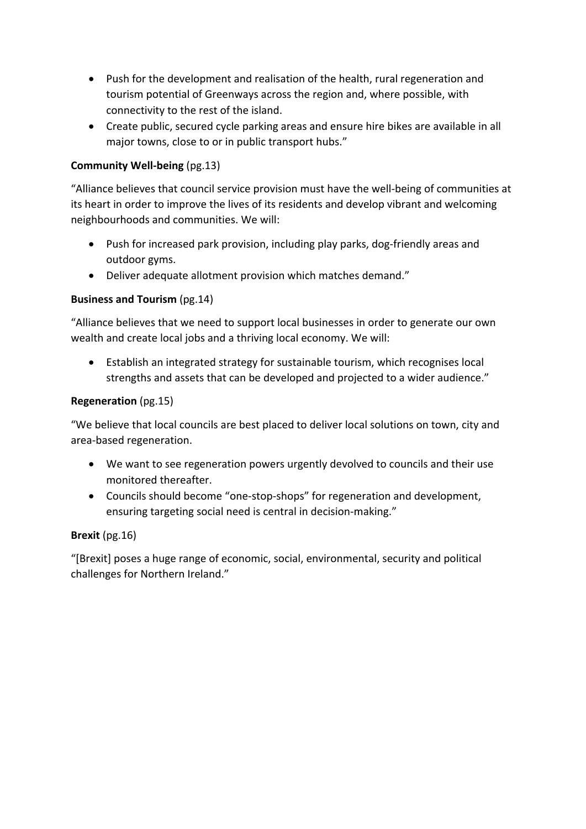- Push for the development and realisation of the health, rural regeneration and tourism potential of Greenways across the region and, where possible, with connectivity to the rest of the island.
- Create public, secured cycle parking areas and ensure hire bikes are available in all major towns, close to or in public transport hubs."

### **Community Well‐being** (pg.13)

"Alliance believes that council service provision must have the well‐being of communities at its heart in order to improve the lives of its residents and develop vibrant and welcoming neighbourhoods and communities. We will:

- Push for increased park provision, including play parks, dog-friendly areas and outdoor gyms.
- Deliver adequate allotment provision which matches demand."

### **Business and Tourism** (pg.14)

"Alliance believes that we need to support local businesses in order to generate our own wealth and create local jobs and a thriving local economy. We will:

 Establish an integrated strategy for sustainable tourism, which recognises local strengths and assets that can be developed and projected to a wider audience."

### **Regeneration** (pg.15)

"We believe that local councils are best placed to deliver local solutions on town, city and area‐based regeneration.

- We want to see regeneration powers urgently devolved to councils and their use monitored thereafter.
- Councils should become "one‐stop‐shops" for regeneration and development, ensuring targeting social need is central in decision‐making."

### **Brexit** (pg.16)

"[Brexit] poses a huge range of economic, social, environmental, security and political challenges for Northern Ireland."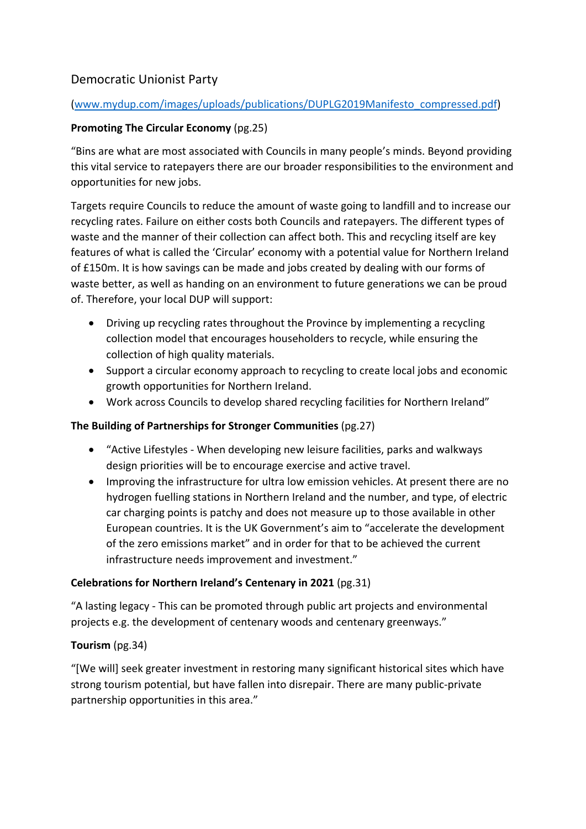# Democratic Unionist Party

### (www.mydup.com/images/uploads/publications/DUPLG2019Manifesto\_compressed.pdf)

# **Promoting The Circular Economy** (pg.25)

"Bins are what are most associated with Councils in many people's minds. Beyond providing this vital service to ratepayers there are our broader responsibilities to the environment and opportunities for new jobs.

Targets require Councils to reduce the amount of waste going to landfill and to increase our recycling rates. Failure on either costs both Councils and ratepayers. The different types of waste and the manner of their collection can affect both. This and recycling itself are key features of what is called the 'Circular' economy with a potential value for Northern Ireland of £150m. It is how savings can be made and jobs created by dealing with our forms of waste better, as well as handing on an environment to future generations we can be proud of. Therefore, your local DUP will support:

- Driving up recycling rates throughout the Province by implementing a recycling collection model that encourages householders to recycle, while ensuring the collection of high quality materials.
- Support a circular economy approach to recycling to create local jobs and economic growth opportunities for Northern Ireland.
- Work across Councils to develop shared recycling facilities for Northern Ireland"

# **The Building of Partnerships for Stronger Communities** (pg.27)

- "Active Lifestyles ‐ When developing new leisure facilities, parks and walkways design priorities will be to encourage exercise and active travel.
- Improving the infrastructure for ultra low emission vehicles. At present there are no hydrogen fuelling stations in Northern Ireland and the number, and type, of electric car charging points is patchy and does not measure up to those available in other European countries. It is the UK Government's aim to "accelerate the development of the zero emissions market" and in order for that to be achieved the current infrastructure needs improvement and investment."

# **Celebrations for Northern Ireland's Centenary in 2021** (pg.31)

"A lasting legacy ‐ This can be promoted through public art projects and environmental projects e.g. the development of centenary woods and centenary greenways."

# **Tourism** (pg.34)

"[We will] seek greater investment in restoring many significant historical sites which have strong tourism potential, but have fallen into disrepair. There are many public-private partnership opportunities in this area."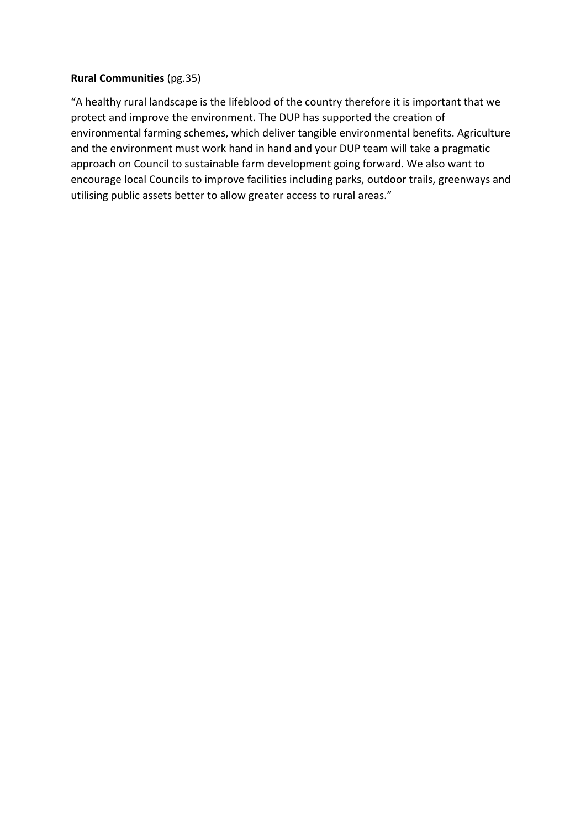### **Rural Communities** (pg.35)

"A healthy rural landscape is the lifeblood of the country therefore it is important that we protect and improve the environment. The DUP has supported the creation of environmental farming schemes, which deliver tangible environmental benefits. Agriculture and the environment must work hand in hand and your DUP team will take a pragmatic approach on Council to sustainable farm development going forward. We also want to encourage local Councils to improve facilities including parks, outdoor trails, greenways and utilising public assets better to allow greater access to rural areas."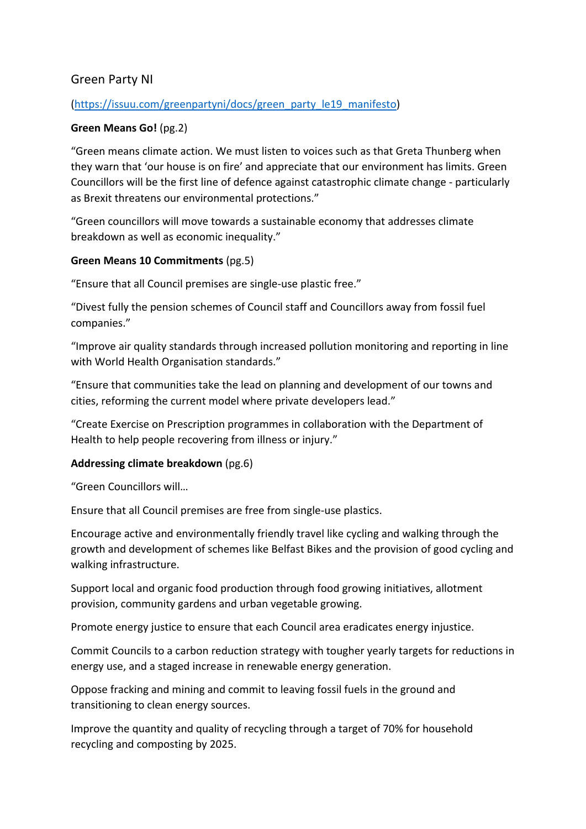# Green Party NI

#### (https://issuu.com/greenpartyni/docs/green\_party\_le19\_manifesto)

### **Green Means Go!** (pg.2)

"Green means climate action. We must listen to voices such as that Greta Thunberg when they warn that 'our house is on fire' and appreciate that our environment has limits. Green Councillors will be the first line of defence against catastrophic climate change ‐ particularly as Brexit threatens our environmental protections."

"Green councillors will move towards a sustainable economy that addresses climate breakdown as well as economic inequality."

#### **Green Means 10 Commitments** (pg.5)

"Ensure that all Council premises are single‐use plastic free."

"Divest fully the pension schemes of Council staff and Councillors away from fossil fuel companies."

"Improve air quality standards through increased pollution monitoring and reporting in line with World Health Organisation standards."

"Ensure that communities take the lead on planning and development of our towns and cities, reforming the current model where private developers lead."

"Create Exercise on Prescription programmes in collaboration with the Department of Health to help people recovering from illness or injury."

#### **Addressing climate breakdown** (pg.6)

"Green Councillors will…

Ensure that all Council premises are free from single‐use plastics.

Encourage active and environmentally friendly travel like cycling and walking through the growth and development of schemes like Belfast Bikes and the provision of good cycling and walking infrastructure.

Support local and organic food production through food growing initiatives, allotment provision, community gardens and urban vegetable growing.

Promote energy justice to ensure that each Council area eradicates energy injustice.

Commit Councils to a carbon reduction strategy with tougher yearly targets for reductions in energy use, and a staged increase in renewable energy generation.

Oppose fracking and mining and commit to leaving fossil fuels in the ground and transitioning to clean energy sources.

Improve the quantity and quality of recycling through a target of 70% for household recycling and composting by 2025.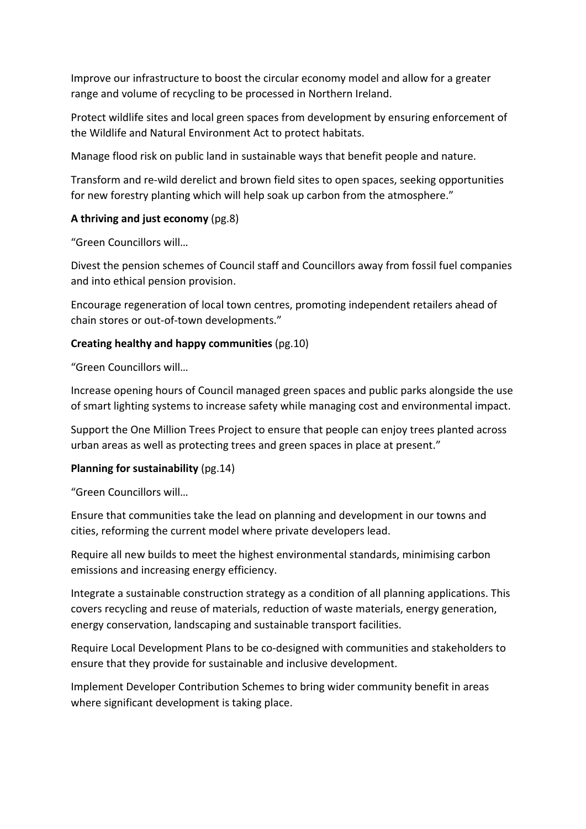Improve our infrastructure to boost the circular economy model and allow for a greater range and volume of recycling to be processed in Northern Ireland.

Protect wildlife sites and local green spaces from development by ensuring enforcement of the Wildlife and Natural Environment Act to protect habitats.

Manage flood risk on public land in sustainable ways that benefit people and nature.

Transform and re‐wild derelict and brown field sites to open spaces, seeking opportunities for new forestry planting which will help soak up carbon from the atmosphere."

### **A thriving and just economy** (pg.8)

"Green Councillors will…

Divest the pension schemes of Council staff and Councillors away from fossil fuel companies and into ethical pension provision.

Encourage regeneration of local town centres, promoting independent retailers ahead of chain stores or out‐of‐town developments."

### **Creating healthy and happy communities** (pg.10)

"Green Councillors will…

Increase opening hours of Council managed green spaces and public parks alongside the use of smart lighting systems to increase safety while managing cost and environmental impact.

Support the One Million Trees Project to ensure that people can enjoy trees planted across urban areas as well as protecting trees and green spaces in place at present."

### **Planning for sustainability** (pg.14)

"Green Councillors will…

Ensure that communities take the lead on planning and development in our towns and cities, reforming the current model where private developers lead.

Require all new builds to meet the highest environmental standards, minimising carbon emissions and increasing energy efficiency.

Integrate a sustainable construction strategy as a condition of all planning applications. This covers recycling and reuse of materials, reduction of waste materials, energy generation, energy conservation, landscaping and sustainable transport facilities.

Require Local Development Plans to be co‐designed with communities and stakeholders to ensure that they provide for sustainable and inclusive development.

Implement Developer Contribution Schemes to bring wider community benefit in areas where significant development is taking place.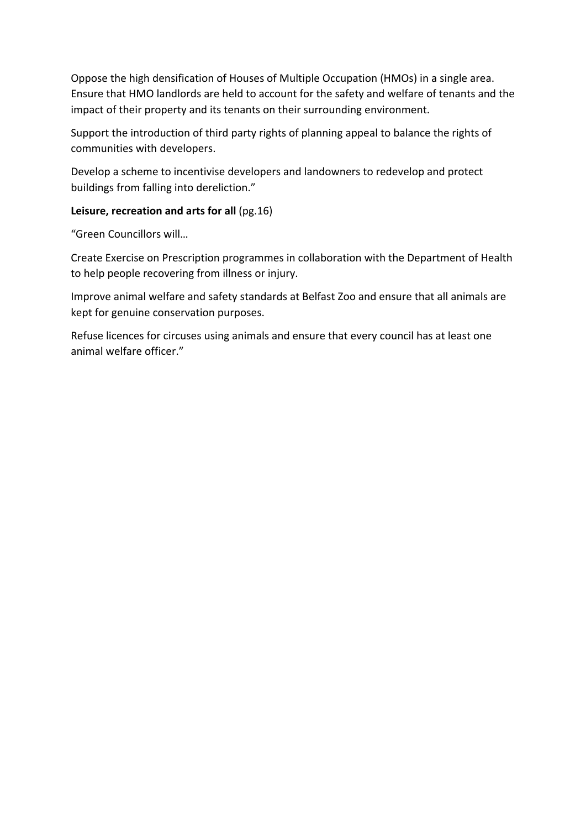Oppose the high densification of Houses of Multiple Occupation (HMOs) in a single area. Ensure that HMO landlords are held to account for the safety and welfare of tenants and the impact of their property and its tenants on their surrounding environment.

Support the introduction of third party rights of planning appeal to balance the rights of communities with developers.

Develop a scheme to incentivise developers and landowners to redevelop and protect buildings from falling into dereliction."

### **Leisure, recreation and arts for all** (pg.16)

"Green Councillors will…

Create Exercise on Prescription programmes in collaboration with the Department of Health to help people recovering from illness or injury.

Improve animal welfare and safety standards at Belfast Zoo and ensure that all animals are kept for genuine conservation purposes.

Refuse licences for circuses using animals and ensure that every council has at least one animal welfare officer."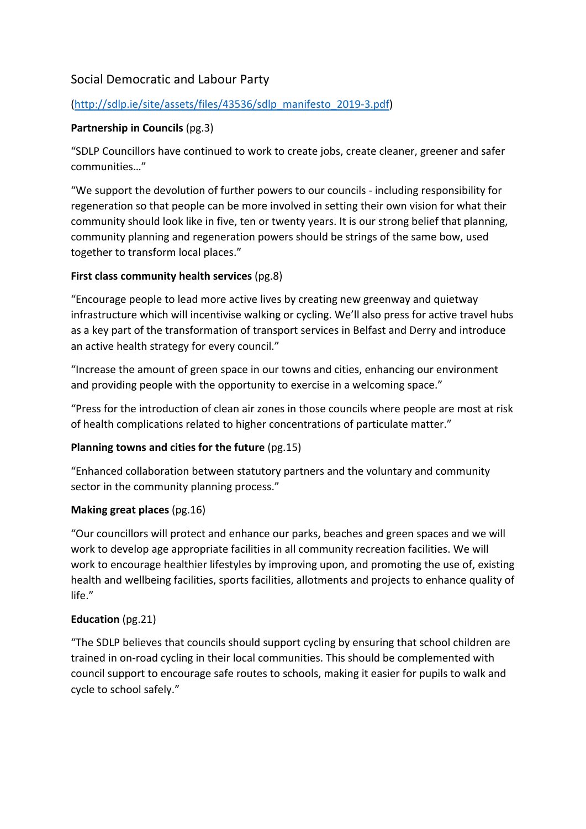# Social Democratic and Labour Party

### (http://sdlp.ie/site/assets/files/43536/sdlp\_manifesto\_2019‐3.pdf)

### **Partnership in Councils** (pg.3)

"SDLP Councillors have continued to work to create jobs, create cleaner, greener and safer communities…"

"We support the devolution of further powers to our councils ‐ including responsibility for regeneration so that people can be more involved in setting their own vision for what their community should look like in five, ten or twenty years. It is our strong belief that planning, community planning and regeneration powers should be strings of the same bow, used together to transform local places."

### **First class community health services** (pg.8)

"Encourage people to lead more active lives by creating new greenway and quietway infrastructure which will incentivise walking or cycling. We'll also press for active travel hubs as a key part of the transformation of transport services in Belfast and Derry and introduce an active health strategy for every council."

"Increase the amount of green space in our towns and cities, enhancing our environment and providing people with the opportunity to exercise in a welcoming space."

"Press for the introduction of clean air zones in those councils where people are most at risk of health complications related to higher concentrations of particulate matter."

# **Planning towns and cities for the future (pg.15)**

"Enhanced collaboration between statutory partners and the voluntary and community sector in the community planning process."

### **Making great places** (pg.16)

"Our councillors will protect and enhance our parks, beaches and green spaces and we will work to develop age appropriate facilities in all community recreation facilities. We will work to encourage healthier lifestyles by improving upon, and promoting the use of, existing health and wellbeing facilities, sports facilities, allotments and projects to enhance quality of life."

### **Education** (pg.21)

"The SDLP believes that councils should support cycling by ensuring that school children are trained in on‐road cycling in their local communities. This should be complemented with council support to encourage safe routes to schools, making it easier for pupils to walk and cycle to school safely."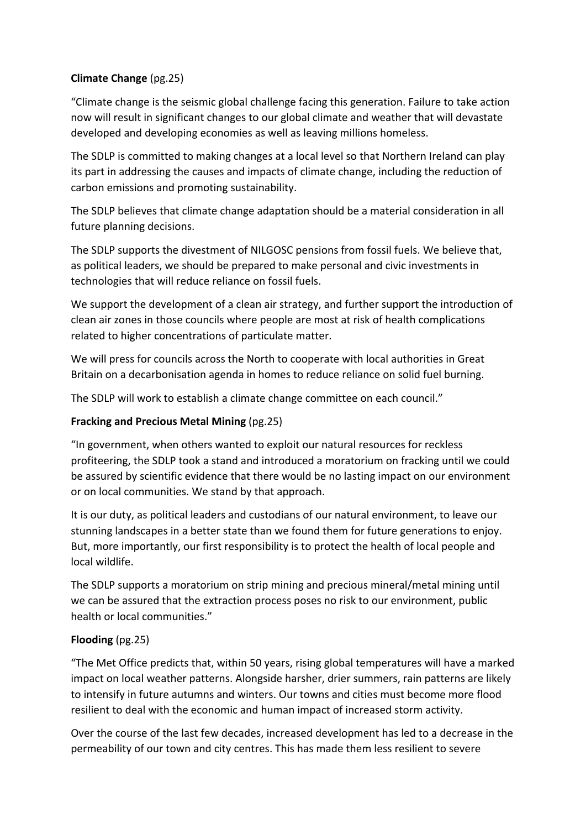## **Climate Change** (pg.25)

"Climate change is the seismic global challenge facing this generation. Failure to take action now will result in significant changes to our global climate and weather that will devastate developed and developing economies as well as leaving millions homeless.

The SDLP is committed to making changes at a local level so that Northern Ireland can play its part in addressing the causes and impacts of climate change, including the reduction of carbon emissions and promoting sustainability.

The SDLP believes that climate change adaptation should be a material consideration in all future planning decisions.

The SDLP supports the divestment of NILGOSC pensions from fossil fuels. We believe that, as political leaders, we should be prepared to make personal and civic investments in technologies that will reduce reliance on fossil fuels.

We support the development of a clean air strategy, and further support the introduction of clean air zones in those councils where people are most at risk of health complications related to higher concentrations of particulate matter.

We will press for councils across the North to cooperate with local authorities in Great Britain on a decarbonisation agenda in homes to reduce reliance on solid fuel burning.

The SDLP will work to establish a climate change committee on each council."

### **Fracking and Precious Metal Mining** (pg.25)

"In government, when others wanted to exploit our natural resources for reckless profiteering, the SDLP took a stand and introduced a moratorium on fracking until we could be assured by scientific evidence that there would be no lasting impact on our environment or on local communities. We stand by that approach.

It is our duty, as political leaders and custodians of our natural environment, to leave our stunning landscapes in a better state than we found them for future generations to enjoy. But, more importantly, our first responsibility is to protect the health of local people and local wildlife.

The SDLP supports a moratorium on strip mining and precious mineral/metal mining until we can be assured that the extraction process poses no risk to our environment, public health or local communities."

### **Flooding** (pg.25)

"The Met Office predicts that, within 50 years, rising global temperatures will have a marked impact on local weather patterns. Alongside harsher, drier summers, rain patterns are likely to intensify in future autumns and winters. Our towns and cities must become more flood resilient to deal with the economic and human impact of increased storm activity.

Over the course of the last few decades, increased development has led to a decrease in the permeability of our town and city centres. This has made them less resilient to severe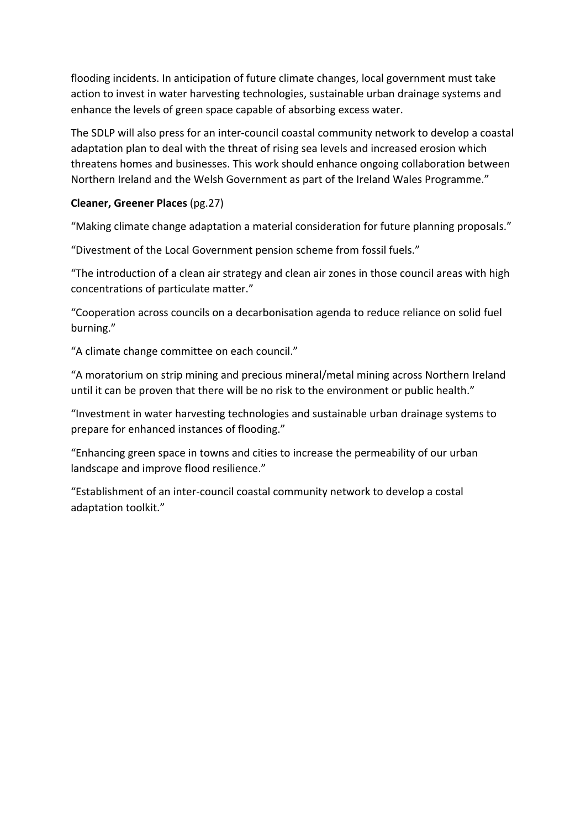flooding incidents. In anticipation of future climate changes, local government must take action to invest in water harvesting technologies, sustainable urban drainage systems and enhance the levels of green space capable of absorbing excess water.

The SDLP will also press for an inter‐council coastal community network to develop a coastal adaptation plan to deal with the threat of rising sea levels and increased erosion which threatens homes and businesses. This work should enhance ongoing collaboration between Northern Ireland and the Welsh Government as part of the Ireland Wales Programme."

### **Cleaner, Greener Places** (pg.27)

"Making climate change adaptation a material consideration for future planning proposals."

"Divestment of the Local Government pension scheme from fossil fuels."

"The introduction of a clean air strategy and clean air zones in those council areas with high concentrations of particulate matter."

"Cooperation across councils on a decarbonisation agenda to reduce reliance on solid fuel burning."

"A climate change committee on each council."

"A moratorium on strip mining and precious mineral/metal mining across Northern Ireland until it can be proven that there will be no risk to the environment or public health."

"Investment in water harvesting technologies and sustainable urban drainage systems to prepare for enhanced instances of flooding."

"Enhancing green space in towns and cities to increase the permeability of our urban landscape and improve flood resilience."

"Establishment of an inter‐council coastal community network to develop a costal adaptation toolkit."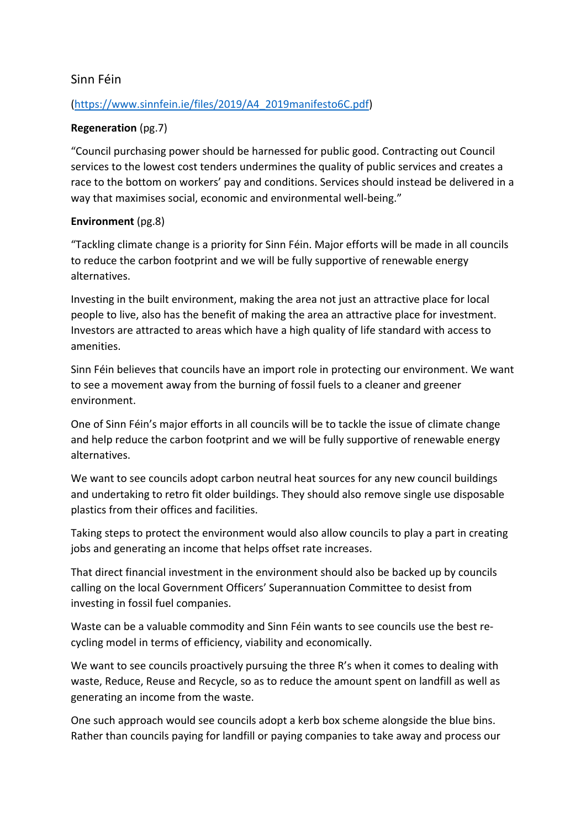# Sinn Féin

### (https://www.sinnfein.ie/files/2019/A4\_2019manifesto6C.pdf)

### **Regeneration** (pg.7)

"Council purchasing power should be harnessed for public good. Contracting out Council services to the lowest cost tenders undermines the quality of public services and creates a race to the bottom on workers' pay and conditions. Services should instead be delivered in a way that maximises social, economic and environmental well-being."

### **Environment** (pg.8)

"Tackling climate change is a priority for Sinn Féin. Major efforts will be made in all councils to reduce the carbon footprint and we will be fully supportive of renewable energy alternatives.

Investing in the built environment, making the area not just an attractive place for local people to live, also has the benefit of making the area an attractive place for investment. Investors are attracted to areas which have a high quality of life standard with access to amenities.

Sinn Féin believes that councils have an import role in protecting our environment. We want to see a movement away from the burning of fossil fuels to a cleaner and greener environment.

One of Sinn Féin's major efforts in all councils will be to tackle the issue of climate change and help reduce the carbon footprint and we will be fully supportive of renewable energy alternatives.

We want to see councils adopt carbon neutral heat sources for any new council buildings and undertaking to retro fit older buildings. They should also remove single use disposable plastics from their offices and facilities.

Taking steps to protect the environment would also allow councils to play a part in creating jobs and generating an income that helps offset rate increases.

That direct financial investment in the environment should also be backed up by councils calling on the local Government Officers' Superannuation Committee to desist from investing in fossil fuel companies.

Waste can be a valuable commodity and Sinn Féin wants to see councils use the best re‐ cycling model in terms of efficiency, viability and economically.

We want to see councils proactively pursuing the three R's when it comes to dealing with waste, Reduce, Reuse and Recycle, so as to reduce the amount spent on landfill as well as generating an income from the waste.

One such approach would see councils adopt a kerb box scheme alongside the blue bins. Rather than councils paying for landfill or paying companies to take away and process our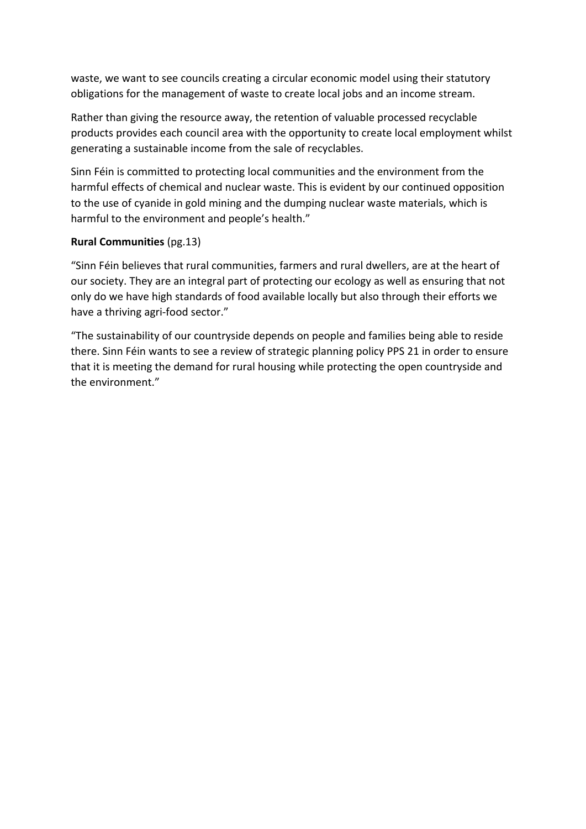waste, we want to see councils creating a circular economic model using their statutory obligations for the management of waste to create local jobs and an income stream.

Rather than giving the resource away, the retention of valuable processed recyclable products provides each council area with the opportunity to create local employment whilst generating a sustainable income from the sale of recyclables.

Sinn Féin is committed to protecting local communities and the environment from the harmful effects of chemical and nuclear waste. This is evident by our continued opposition to the use of cyanide in gold mining and the dumping nuclear waste materials, which is harmful to the environment and people's health."

### **Rural Communities** (pg.13)

"Sinn Féin believes that rural communities, farmers and rural dwellers, are at the heart of our society. They are an integral part of protecting our ecology as well as ensuring that not only do we have high standards of food available locally but also through their efforts we have a thriving agri-food sector."

"The sustainability of our countryside depends on people and families being able to reside there. Sinn Féin wants to see a review of strategic planning policy PPS 21 in order to ensure that it is meeting the demand for rural housing while protecting the open countryside and the environment."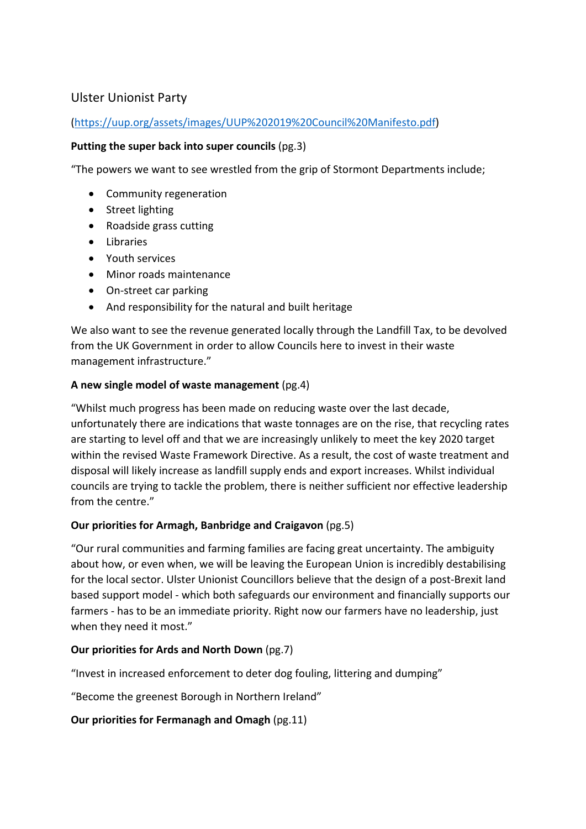# Ulster Unionist Party

### (https://uup.org/assets/images/UUP%202019%20Council%20Manifesto.pdf)

#### **Putting the super back into super councils** (pg.3)

"The powers we want to see wrestled from the grip of Stormont Departments include;

- Community regeneration
- Street lighting
- Roadside grass cutting
- Libraries
- Youth services
- Minor roads maintenance
- On-street car parking
- And responsibility for the natural and built heritage

We also want to see the revenue generated locally through the Landfill Tax, to be devolved from the UK Government in order to allow Councils here to invest in their waste management infrastructure."

### **A new single model of waste management** (pg.4)

"Whilst much progress has been made on reducing waste over the last decade, unfortunately there are indications that waste tonnages are on the rise, that recycling rates are starting to level off and that we are increasingly unlikely to meet the key 2020 target within the revised Waste Framework Directive. As a result, the cost of waste treatment and disposal will likely increase as landfill supply ends and export increases. Whilst individual councils are trying to tackle the problem, there is neither sufficient nor effective leadership from the centre."

### **Our priorities for Armagh, Banbridge and Craigavon** (pg.5)

"Our rural communities and farming families are facing great uncertainty. The ambiguity about how, or even when, we will be leaving the European Union is incredibly destabilising for the local sector. Ulster Unionist Councillors believe that the design of a post‐Brexit land based support model ‐ which both safeguards our environment and financially supports our farmers - has to be an immediate priority. Right now our farmers have no leadership, just when they need it most."

### **Our priorities for Ards and North Down** (pg.7)

"Invest in increased enforcement to deter dog fouling, littering and dumping"

"Become the greenest Borough in Northern Ireland"

### **Our priorities for Fermanagh and Omagh** (pg.11)